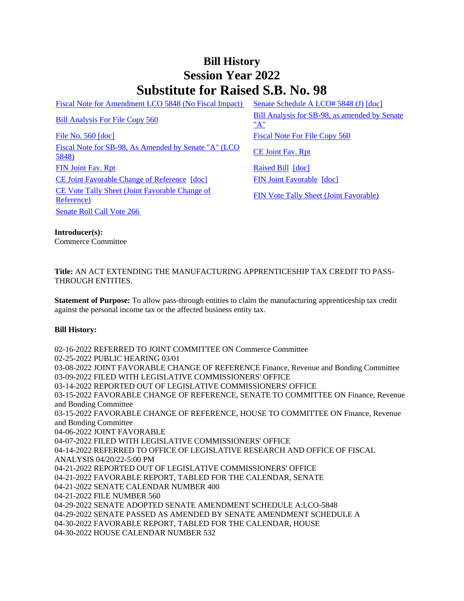## **Bill History Session Year 2022 Substitute for Raised S.B. No. 98**

[Fiscal Note for Amendment LCO 5848 \(No Fiscal Impact\)](/2022/fna/pdf/2022SB-00098-R00LCO05848-FNA.pdf) [Senate Schedule A LCO# 5848 \(J\)](/2022/amd/S/pdf/2022SB-00098-R00SA-AMD.pdf) [\[doc\]](https://search.cga.state.ct.us/dl2022/AMd/DOC/2022SB-00098-R00SA-AMD.Docx)

[File No. 560](/2022/FC/PDF/2022SB-00098-R000560-FC.PDF) [\[doc\]](https://search.cga.state.ct.us/dl2022/fc/doc/2022SB-00098-R000560-FC.docx) [Fiscal Note For File Copy 560](/2022/FN/PDF/2022SB-00098-R000560-FN.PDF) [Fiscal Note for SB-98, As Amended by Senate "A" \(LCO](/2022/FN/PDF/2022SB-00098-R01-FN.PDF) CE Joint Fav. Rpt)<br>[5848\)](/2022/FN/PDF/2022SB-00098-R01-FN.PDF) [FIN Joint Fav. Rpt](/2022/JFR/S/PDF/2022SB-00098-R00FIN-JFR.PDF) [Raised Bill](/2022/TOB/S/PDF/2022SB-00098-R00-SB.PDF) [\[doc\]](https://search.cga.state.ct.us/dl2022/TOB/DOC/2022SB-00098-R00-SB.DOCX) [CE Joint Favorable Change of Reference](/2022/TOB/S/PDF/2022SB-00098-R01-SB.PDF) [\[doc\]](https://search.cga.state.ct.us/dl2022/TOB/DOC/2022SB-00098-R02-SB.DOCX) [FIN Joint Favorable](/2022/TOB/S/PDF/2022SB-00098-R02-SB.PDF) [doc] [CE Vote Tally Sheet \(Joint Favorable Change of](/2022/TS/S/PDF/2022SB-00098-R00CE-CV39-TS.PDF)  <u>CE Vote Tally Sheet (Joint Pavorable Change of</u><br>[Reference\)](/2022/TS/S/PDF/2022SB-00098-R00CE-CV39-TS.PDF) [FIN Vote Tally Sheet \(Joint Favorable\)](/2022/TS/S/PDF/2022SB-00098-R00FIN-CV107-TS.PDF) [Senate Roll Call Vote 266](/2022/VOTE/S/PDF/2022SV-00266-R00SB00098-SV.PDF) 

[Bill Analysis For File Copy 560](/2022/BA/PDF/2022SB-00098-R000560-BA.PDF) Bill Analysis for SB-98, as amended by Senate ["A"](/2022/BA/PDF/2022SB-00098-R01-BA.PDF)

**Introducer(s):** Commerce Committee

## **Title:** AN ACT EXTENDING THE MANUFACTURING APPRENTICESHIP TAX CREDIT TO PASS-THROUGH ENTITIES.

**Statement of Purpose:** To allow pass-through entities to claim the manufacturing apprenticeship tax credit against the personal income tax or the affected business entity tax.

## **Bill History:**

02-16-2022 REFERRED TO JOINT COMMITTEE ON Commerce Committee 02-25-2022 PUBLIC HEARING 03/01 03-08-2022 JOINT FAVORABLE CHANGE OF REFERENCE Finance, Revenue and Bonding Committee 03-09-2022 FILED WITH LEGISLATIVE COMMISSIONERS' OFFICE 03-14-2022 REPORTED OUT OF LEGISLATIVE COMMISSIONERS' OFFICE 03-15-2022 FAVORABLE CHANGE OF REFERENCE, SENATE TO COMMITTEE ON Finance, Revenue and Bonding Committee 03-15-2022 FAVORABLE CHANGE OF REFERENCE, HOUSE TO COMMITTEE ON Finance, Revenue and Bonding Committee 04-06-2022 JOINT FAVORABLE 04-07-2022 FILED WITH LEGISLATIVE COMMISSIONERS' OFFICE 04-14-2022 REFERRED TO OFFICE OF LEGISLATIVE RESEARCH AND OFFICE OF FISCAL ANALYSIS 04/20/22-5:00 PM 04-21-2022 REPORTED OUT OF LEGISLATIVE COMMISSIONERS' OFFICE 04-21-2022 FAVORABLE REPORT, TABLED FOR THE CALENDAR, SENATE 04-21-2022 SENATE CALENDAR NUMBER 400 04-21-2022 FILE NUMBER 560 04-29-2022 SENATE ADOPTED SENATE AMENDMENT SCHEDULE A:LCO-5848 04-29-2022 SENATE PASSED AS AMENDED BY SENATE AMENDMENT SCHEDULE A 04-30-2022 FAVORABLE REPORT, TABLED FOR THE CALENDAR, HOUSE 04-30-2022 HOUSE CALENDAR NUMBER 532